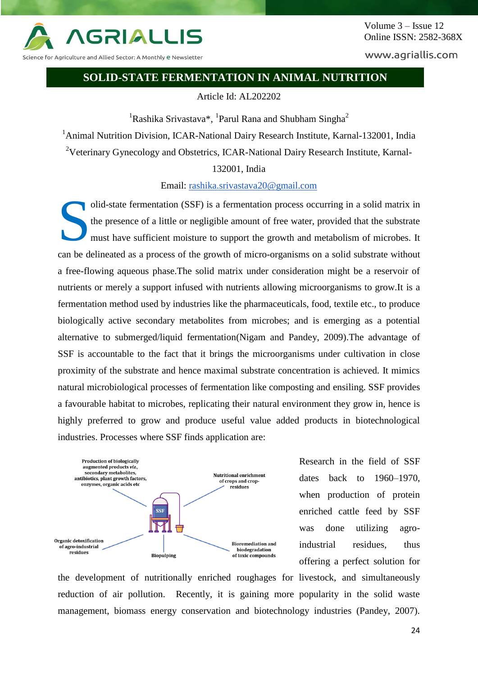

Science for Agriculture and Allied Sector: A Monthly e Newsletter

www.agriallis.com

#### **SOLID-STATE FERMENTATION IN ANIMAL NUTRITION**

Article Id: AL202202

<sup>1</sup>Rashika Srivastava\*, <sup>1</sup>Parul Rana and Shubham Singha<sup>2</sup>

<sup>1</sup>Animal Nutrition Division, ICAR-National Dairy Research Institute, Karnal-132001, India

<sup>2</sup>Veterinary Gynecology and Obstetrics, ICAR-National Dairy Research Institute, Karnal-

132001, India

Email: [rashika.srivastava20@gmail.com](mailto:rashika.srivastava20@gmail.com)

olid-state fermentation (SSF) is a fermentation process occurring in a solid matrix in the presence of a little or negligible amount of free water, provided that the substrate must have sufficient moisture to support the growth and metabolism of microbes. It can be delineated as a process of the growth of micro-organisms on a solid substrate without a free-flowing aqueous phase.The solid matrix under consideration might be a reservoir of nutrients or merely a support infused with nutrients allowing microorganisms to grow.It is a fermentation method used by industries like the pharmaceuticals, food, textile etc., to produce biologically active secondary metabolites from microbes; and is emerging as a potential alternative to submerged/liquid fermentation(Nigam and Pandey, 2009).The advantage of SSF is accountable to the fact that it brings the microorganisms under cultivation in close proximity of the substrate and hence maximal substrate concentration is achieved. It mimics natural microbiological processes of fermentation like composting and ensiling. SSF provides a favourable habitat to microbes, replicating their natural environment they grow in, hence is highly preferred to grow and produce useful value added products in biotechnological industries. Processes where SSF finds application are: S



Research in the field of SSF dates back to 1960–1970, when production of protein enriched cattle feed by SSF was done utilizing agroindustrial residues, thus offering a perfect solution for

the development of nutritionally enriched roughages for livestock, and simultaneously reduction of air pollution. Recently, it is gaining more popularity in the solid waste management, biomass energy conservation and biotechnology industries (Pandey, 2007).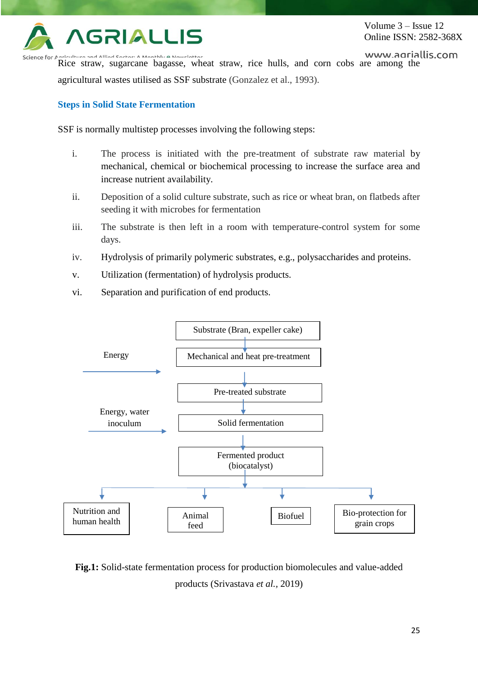

Rice straw, sugarcane bagasse, wheat straw, rice hulls, and corn cobs are among the Science for agricultural wastes utilised as SSF substrate (Gonzalez et al., 1993).

## **Steps in Solid State Fermentation**

SSF is normally multistep processes involving the following steps:

- i. The process is initiated with the pre-treatment of substrate raw material by mechanical, chemical or biochemical processing to increase the surface area and increase nutrient availability.
- ii. Deposition of a solid culture substrate, such as rice or wheat bran, on flatbeds after seeding it with microbes for fermentation
- iii. The substrate is then left in a room with temperature-control system for some days.
- iv. Hydrolysis of primarily polymeric substrates, e.g., polysaccharides and proteins.
- v. Utilization (fermentation) of hydrolysis products.
- vi. Separation and purification of end products.



**Fig.1:** Solid-state fermentation process for production biomolecules and value-added products (Srivastava *et al.,* 2019)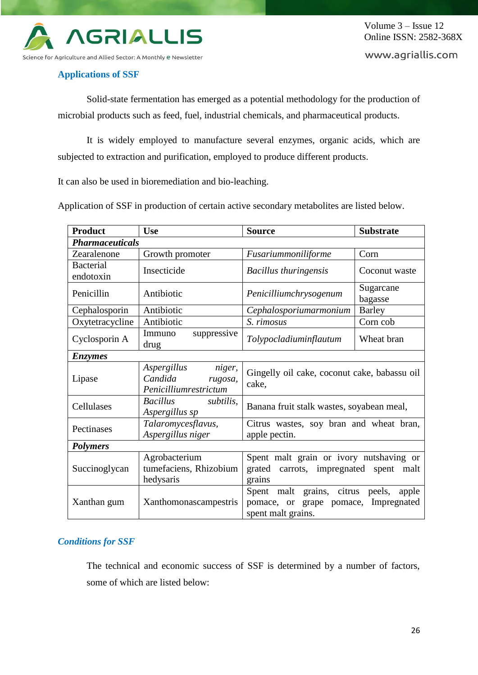

www.agriallis.com

### **Applications of SSF**

Solid-state fermentation has emerged as a potential methodology for the production of microbial products such as feed, fuel, industrial chemicals, and pharmaceutical products.

It is widely employed to manufacture several enzymes, organic acids, which are subjected to extraction and purification, employed to produce different products.

It can also be used in bioremediation and bio-leaching.

Application of SSF in production of certain active secondary metabolites are listed below.

| <b>Product</b>                | <b>Use</b>                                                           | <b>Source</b>                                                                                        | <b>Substrate</b>     |
|-------------------------------|----------------------------------------------------------------------|------------------------------------------------------------------------------------------------------|----------------------|
| <b>Pharmaceuticals</b>        |                                                                      |                                                                                                      |                      |
| Zearalenone                   | Growth promoter                                                      | Fusariummoniliforme                                                                                  | Corn                 |
| <b>Bacterial</b><br>endotoxin | Insecticide                                                          | <b>Bacillus thuringensis</b>                                                                         | Coconut waste        |
| Penicillin                    | Antibiotic                                                           | Penicilliumchrysogenum                                                                               | Sugarcane<br>bagasse |
| Cephalosporin                 | Antibiotic                                                           | Cephalosporiumarmonium                                                                               | <b>Barley</b>        |
| Oxytetracycline               | Antibiotic                                                           | S. rimosus                                                                                           | Corn cob             |
| Cyclosporin A                 | Immuno<br>suppressive<br>drug                                        | Tolypocladiuminflautum                                                                               | Wheat bran           |
| <b>Enzymes</b>                |                                                                      |                                                                                                      |                      |
| Lipase                        | niger,<br>Aspergillus<br>Candida<br>rugosa,<br>Penicilliumrestrictum | Gingelly oil cake, coconut cake, babassu oil<br>cake,                                                |                      |
| Cellulases                    | <b>Bacillus</b><br>subtilis,<br>Aspergillus sp                       | Banana fruit stalk wastes, soyabean meal,                                                            |                      |
| Pectinases                    | Talaromycesflavus,<br>Aspergillus niger                              | Citrus wastes, soy bran and wheat bran,<br>apple pectin.                                             |                      |
| <b>Polymers</b>               |                                                                      |                                                                                                      |                      |
| Succinoglycan                 | Agrobacterium<br>tumefaciens, Rhizobium<br>hedysaris                 | Spent malt grain or ivory nutshaving or<br>grated<br>carrots, impregnated spent malt<br>grains       |                      |
| Xanthan gum                   | Xanthomonascampestris                                                | Spent malt grains, citrus peels, apple<br>pomace, or grape pomace, Impregnated<br>spent malt grains. |                      |

## *Conditions for SSF*

The technical and economic success of SSF is determined by a number of factors, some of which are listed below: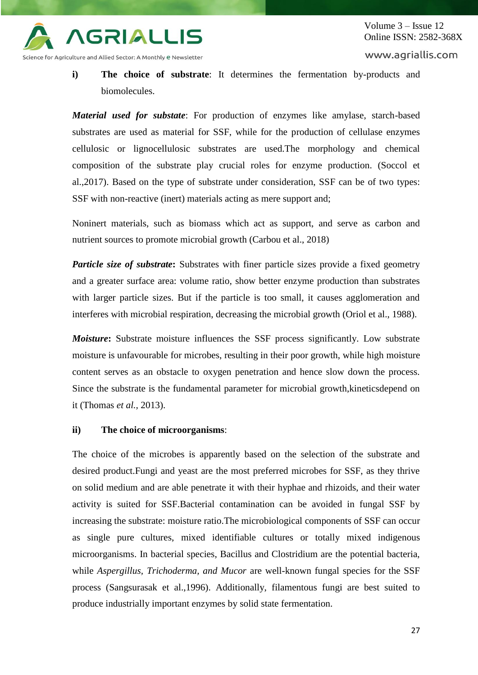

**i) The choice of substrate**: It determines the fermentation by-products and biomolecules.

*Material used for substate*: For production of enzymes like amylase, starch-based substrates are used as material for SSF, while for the production of cellulase enzymes cellulosic or lignocellulosic substrates are used.The morphology and chemical composition of the substrate play crucial roles for enzyme production. (Soccol et al.,2017). Based on the type of substrate under consideration, SSF can be of two types: SSF with non-reactive (inert) materials acting as mere support and;

Noninert materials, such as biomass which act as support, and serve as carbon and nutrient sources to promote microbial growth (Carbou et al., 2018)

*Particle size of substrate*: Substrates with finer particle sizes provide a fixed geometry and a greater surface area: volume ratio, show better enzyme production than substrates with larger particle sizes. But if the particle is too small, it causes agglomeration and interferes with microbial respiration, decreasing the microbial growth (Oriol et al., 1988).

*Moisture*: Substrate moisture influences the SSF process significantly. Low substrate moisture is unfavourable for microbes, resulting in their poor growth, while high moisture content serves as an obstacle to oxygen penetration and hence slow down the process. Since the substrate is the fundamental parameter for microbial growth,kineticsdepend on it (Thomas *et al.,* 2013).

#### **ii) The choice of microorganisms**:

The choice of the microbes is apparently based on the selection of the substrate and desired product.Fungi and yeast are the most preferred microbes for SSF, as they thrive on solid medium and are able penetrate it with their hyphae and rhizoids, and their water activity is suited for SSF.Bacterial contamination can be avoided in fungal SSF by increasing the substrate: moisture ratio.The microbiological components of SSF can occur as single pure cultures, mixed identifiable cultures or totally mixed indigenous microorganisms. In bacterial species, Bacillus and Clostridium are the potential bacteria, while *Aspergillus, Trichoderma, and Mucor* are well-known fungal species for the SSF process (Sangsurasak et al.,1996). Additionally, filamentous fungi are best suited to produce industrially important enzymes by solid state fermentation.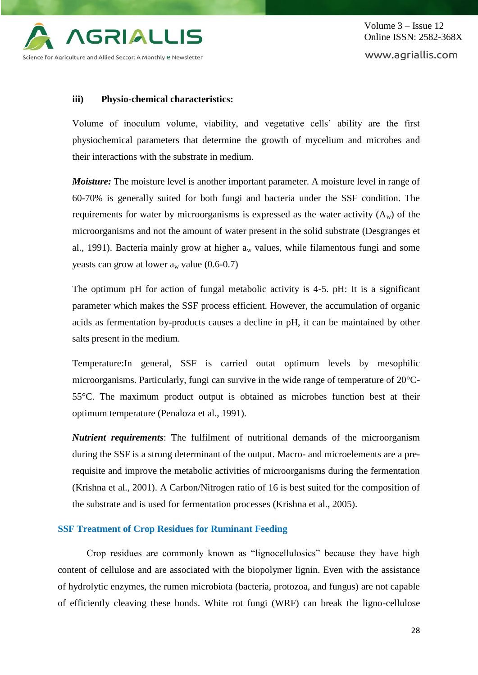

#### **iii) Physio-chemical characteristics:**

Volume of inoculum volume, viability, and vegetative cells' ability are the first physiochemical parameters that determine the growth of mycelium and microbes and their interactions with the substrate in medium.

*Moisture:* The moisture level is another important parameter. A moisture level in range of 60-70% is generally suited for both fungi and bacteria under the SSF condition. The requirements for water by microorganisms is expressed as the water activity  $(A_w)$  of the microorganisms and not the amount of water present in the solid substrate (Desgranges et al., 1991). Bacteria mainly grow at higher  $a_w$  values, while filamentous fungi and some yeasts can grow at lower  $a_w$  value (0.6-0.7)

The optimum pH for action of fungal metabolic activity is 4-5. pH: It is a significant parameter which makes the SSF process efficient. However, the accumulation of organic acids as fermentation by-products causes a decline in pH, it can be maintained by other salts present in the medium.

Temperature:In general, SSF is carried outat optimum levels by mesophilic microorganisms. Particularly, fungi can survive in the wide range of temperature of 20°C-55°C. The maximum product output is obtained as microbes function best at their optimum temperature (Penaloza et al., 1991).

*Nutrient requirements*: The fulfilment of nutritional demands of the microorganism during the SSF is a strong determinant of the output. Macro- and microelements are a prerequisite and improve the metabolic activities of microorganisms during the fermentation (Krishna et al., 2001). A Carbon/Nitrogen ratio of 16 is best suited for the composition of the substrate and is used for fermentation processes (Krishna et al., 2005).

#### **SSF Treatment of Crop Residues for Ruminant Feeding**

Crop residues are commonly known as "lignocellulosics" because they have high content of cellulose and are associated with the biopolymer lignin. Even with the assistance of hydrolytic enzymes, the rumen microbiota (bacteria, protozoa, and fungus) are not capable of efficiently cleaving these bonds. White rot fungi (WRF) can break the ligno-cellulose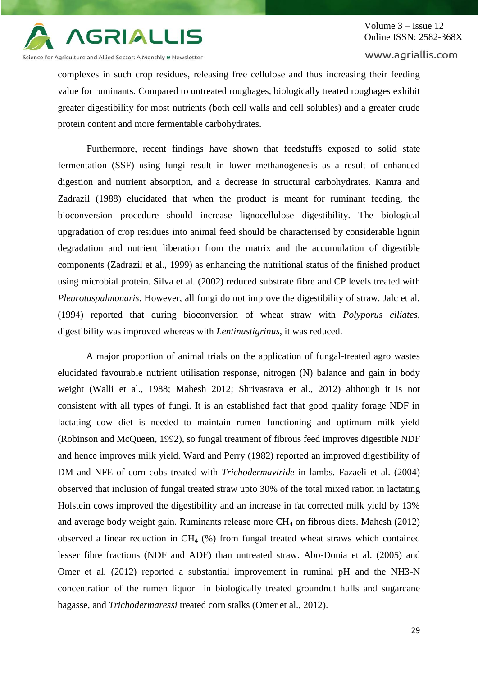

Science for Agriculture and Allied Sector: A Monthly <mark>e N</mark>ewsletter

## Volume 3 – Issue 12 Online ISSN: 2582-368X

www.agriallis.com

complexes in such crop residues, releasing free cellulose and thus increasing their feeding value for ruminants. Compared to untreated roughages, biologically treated roughages exhibit greater digestibility for most nutrients (both cell walls and cell solubles) and a greater crude protein content and more fermentable carbohydrates.

Furthermore, recent findings have shown that feedstuffs exposed to solid state fermentation (SSF) using fungi result in lower methanogenesis as a result of enhanced digestion and nutrient absorption, and a decrease in structural carbohydrates. Kamra and Zadrazil (1988) elucidated that when the product is meant for ruminant feeding, the bioconversion procedure should increase lignocellulose digestibility. The biological upgradation of crop residues into animal feed should be characterised by considerable lignin degradation and nutrient liberation from the matrix and the accumulation of digestible components (Zadrazil et al., 1999) as enhancing the nutritional status of the finished product using microbial protein. Silva et al. (2002) reduced substrate fibre and CP levels treated with *Pleurotuspulmonaris*. However, all fungi do not improve the digestibility of straw. Jalc et al. (1994) reported that during bioconversion of wheat straw with *Polyporus ciliates*, digestibility was improved whereas with *Lentinustigrinus*, it was reduced.

A major proportion of animal trials on the application of fungal-treated agro wastes elucidated favourable nutrient utilisation response, nitrogen (N) balance and gain in body weight (Walli et al., 1988; Mahesh 2012; Shrivastava et al., 2012) although it is not consistent with all types of fungi. It is an established fact that good quality forage NDF in lactating cow diet is needed to maintain rumen functioning and optimum milk yield (Robinson and McQueen, 1992), so fungal treatment of fibrous feed improves digestible NDF and hence improves milk yield. Ward and Perry (1982) reported an improved digestibility of DM and NFE of corn cobs treated with *Trichodermaviride* in lambs. Fazaeli et al. (2004) observed that inclusion of fungal treated straw upto 30% of the total mixed ration in lactating Holstein cows improved the digestibility and an increase in fat corrected milk yield by 13% and average body weight gain. Ruminants release more  $CH_4$  on fibrous diets. Mahesh (2012) observed a linear reduction in  $CH_4$  (%) from fungal treated wheat straws which contained lesser fibre fractions (NDF and ADF) than untreated straw. Abo-Donia et al. (2005) and Omer et al. (2012) reported a substantial improvement in ruminal pH and the NH3-N concentration of the rumen liquor in biologically treated groundnut hulls and sugarcane bagasse, and *Trichodermaressi* treated corn stalks (Omer et al., 2012).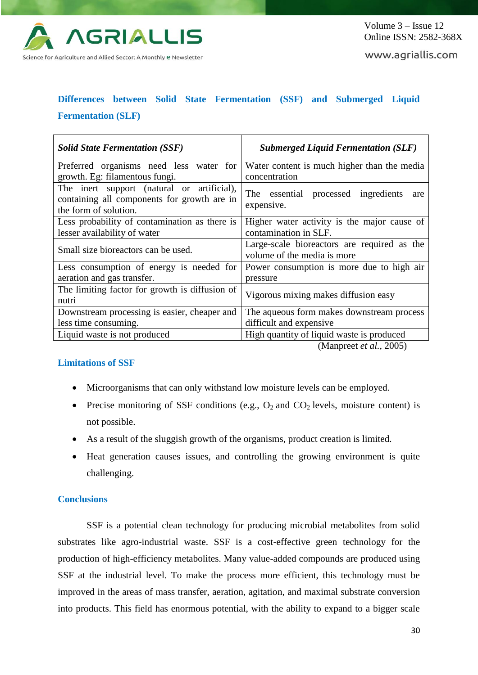

www.agriallis.com

# **Differences between Solid State Fermentation (SSF) and Submerged Liquid Fermentation (SLF)**

| <b>Solid State Fermentation (SSF)</b>                                                                              | <b>Submerged Liquid Fermentation (SLF)</b>                                 |  |
|--------------------------------------------------------------------------------------------------------------------|----------------------------------------------------------------------------|--|
| Preferred organisms need less water for                                                                            | Water content is much higher than the media                                |  |
| growth. Eg: filamentous fungi.                                                                                     | concentration                                                              |  |
| The inert support (natural or artificial),<br>containing all components for growth are in<br>the form of solution. | The essential processed ingredients<br>are<br>expensive.                   |  |
| Less probability of contamination as there is                                                                      | Higher water activity is the major cause of                                |  |
| lesser availability of water                                                                                       | contamination in SLF.                                                      |  |
| Small size bioreactors can be used.                                                                                | Large-scale bioreactors are required as the<br>volume of the media is more |  |
| Less consumption of energy is needed for                                                                           | Power consumption is more due to high air                                  |  |
| aeration and gas transfer.                                                                                         | pressure                                                                   |  |
| The limiting factor for growth is diffusion of<br>nutri                                                            | Vigorous mixing makes diffusion easy                                       |  |
| Downstream processing is easier, cheaper and                                                                       | The aqueous form makes downstream process                                  |  |
| less time consuming.                                                                                               | difficult and expensive                                                    |  |
| Liquid waste is not produced                                                                                       | High quantity of liquid waste is produced                                  |  |

(Manpreet *et al.,* 2005)

#### **Limitations of SSF**

- Microorganisms that can only withstand low moisture levels can be employed.
- Precise monitoring of SSF conditions (e.g.,  $O_2$  and  $CO_2$  levels, moisture content) is not possible.
- As a result of the sluggish growth of the organisms, product creation is limited.
- Heat generation causes issues, and controlling the growing environment is quite challenging.

#### **Conclusions**

SSF is a potential clean technology for producing microbial metabolites from solid substrates like agro-industrial waste. SSF is a cost-effective green technology for the production of high-efficiency metabolites. Many value-added compounds are produced using SSF at the industrial level. To make the process more efficient, this technology must be improved in the areas of mass transfer, aeration, agitation, and maximal substrate conversion into products. This field has enormous potential, with the ability to expand to a bigger scale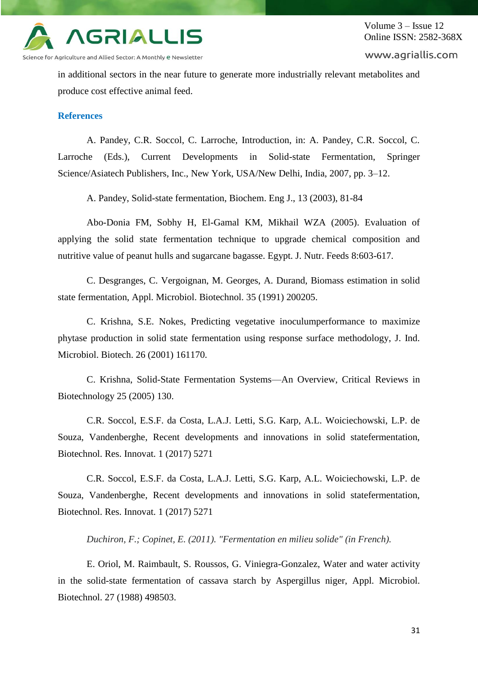

www.agriallis.com

in additional sectors in the near future to generate more industrially relevant metabolites and produce cost effective animal feed.

#### **References**

A. Pandey, C.R. Soccol, C. Larroche, Introduction, in: A. Pandey, C.R. Soccol, C. Larroche (Eds.), Current Developments in Solid-state Fermentation, Springer Science/Asiatech Publishers, Inc., New York, USA/New Delhi, India, 2007, pp. 3–12.

A. Pandey, Solid-state fermentation, Biochem. Eng J., 13 (2003), 81-84

Abo-Donia FM, Sobhy H, El-Gamal KM, Mikhail WZA (2005). Evaluation of applying the solid state fermentation technique to upgrade chemical composition and nutritive value of peanut hulls and sugarcane bagasse. Egypt. J. Nutr. Feeds 8:603-617.

C. Desgranges, C. Vergoignan, M. Georges, A. Durand, Biomass estimation in solid state fermentation, Appl. Microbiol. Biotechnol. 35 (1991) 200205.

C. Krishna, S.E. Nokes, Predicting vegetative inoculumperformance to maximize phytase production in solid state fermentation using response surface methodology, J. Ind. Microbiol. Biotech. 26 (2001) 161170.

C. Krishna, Solid-State Fermentation Systems—An Overview, Critical Reviews in Biotechnology 25 (2005) 130.

C.R. Soccol, E.S.F. da Costa, L.A.J. Letti, S.G. Karp, A.L. Woiciechowski, L.P. de Souza, Vandenberghe, Recent developments and innovations in solid statefermentation, Biotechnol. Res. Innovat. 1 (2017) 5271

C.R. Soccol, E.S.F. da Costa, L.A.J. Letti, S.G. Karp, A.L. Woiciechowski, L.P. de Souza, Vandenberghe, Recent developments and innovations in solid statefermentation, Biotechnol. Res. Innovat. 1 (2017) 5271

*Duchiron, F.; Copinet, E. (2011). "Fermentation en milieu solide" (in French).*

E. Oriol, M. Raimbault, S. Roussos, G. Viniegra-Gonzalez, Water and water activity in the solid-state fermentation of cassava starch by Aspergillus niger, Appl. Microbiol. Biotechnol. 27 (1988) 498503.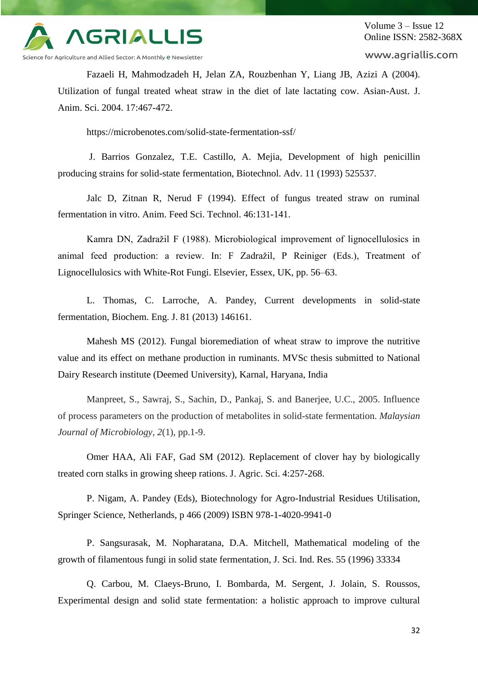

Volume 3 – Issue 12 Online ISSN: 2582-368X

www.agriallis.com

Fazaeli H, Mahmodzadeh H, Jelan ZA, Rouzbenhan Y, Liang JB, Azizi A (2004). Utilization of fungal treated wheat straw in the diet of late lactating cow. Asian-Aust. J. Anim. Sci. 2004. 17:467-472.

https://microbenotes.com/solid-state-fermentation-ssf/

J. Barrios Gonzalez, T.E. Castillo, A. Mejia, Development of high penicillin producing strains for solid-state fermentation, Biotechnol. Adv. 11 (1993) 525537.

Jalc D, Zitnan R, Nerud F (1994). Effect of fungus treated straw on ruminal fermentation in vitro. Anim. Feed Sci. Technol. 46:131-141.

Kamra DN, Zadražil F (1988). Microbiological improvement of lignocellulosics in animal feed production: a review. In: F Zadražil, P Reiniger (Eds.), Treatment of Lignocellulosics with White-Rot Fungi. Elsevier, Essex, UK, pp. 56–63.

L. Thomas, C. Larroche, A. Pandey, Current developments in solid-state fermentation, Biochem. Eng. J. 81 (2013) 146161.

Mahesh MS (2012). Fungal bioremediation of wheat straw to improve the nutritive value and its effect on methane production in ruminants. MVSc thesis submitted to National Dairy Research institute (Deemed University), Karnal, Haryana, India

Manpreet, S., Sawraj, S., Sachin, D., Pankaj, S. and Banerjee, U.C., 2005. Influence of process parameters on the production of metabolites in solid-state fermentation. *Malaysian Journal of Microbiology*, *2*(1), pp.1-9.

Omer HAA, Ali FAF, Gad SM (2012). Replacement of clover hay by biologically treated corn stalks in growing sheep rations. J. Agric. Sci. 4:257-268.

P. Nigam, A. Pandey (Eds), Biotechnology for Agro-Industrial Residues Utilisation, Springer Science, Netherlands, p 466 (2009) ISBN 978-1-4020-9941-0

P. Sangsurasak, M. Nopharatana, D.A. Mitchell, Mathematical modeling of the growth of filamentous fungi in solid state fermentation, J. Sci. Ind. Res. 55 (1996) 33334

Q. Carbou, M. Claeys-Bruno, I. Bombarda, M. Sergent, J. Jolain, S. Roussos, Experimental design and solid state fermentation: a holistic approach to improve cultural